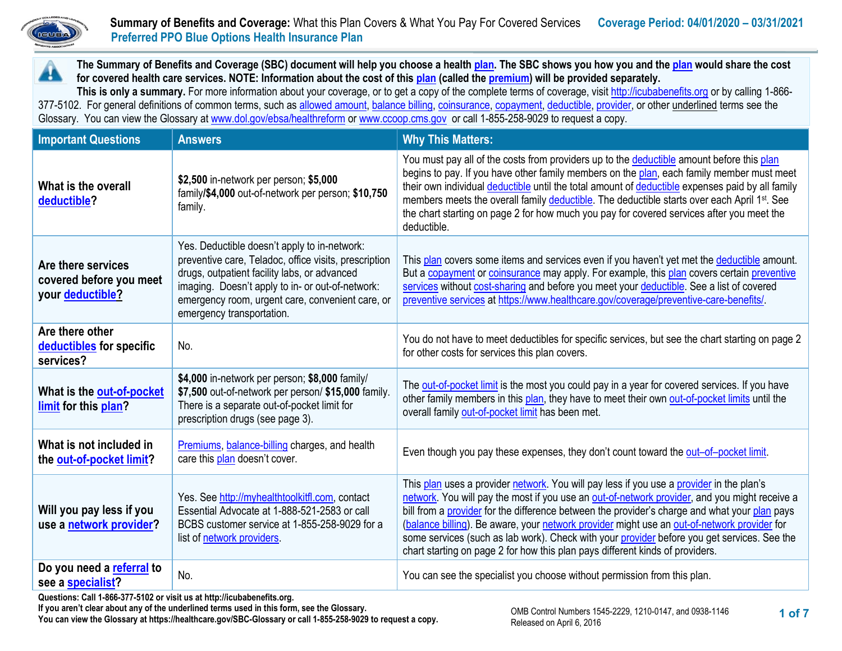

A

# **Summary of Benefits and Coverage:** What this Plan Covers & What You Pay For Covered Services **Coverage Period: 04/01/2020 – 03/31/2021 Preferred PPO Blue Options Health Insurance Plan**

**The Summary of Benefits and Coverage (SBC) document will help you choose a health [plan.](https://www.healthcare.gov/sbc-glossary/#plan) The SBC shows you how you and th[e plan](https://www.healthcare.gov/sbc-glossary/#plan) would share the cost for covered health care services. NOTE: Information about the cost of thi[s plan](https://www.healthcare.gov/sbc-glossary/#plan) (called th[e premium\)](https://www.healthcare.gov/sbc-glossary/#premium) will be provided separately.**

**This is only a summary.** For more information about your coverage, or to get a copy of the complete terms of coverage, visi[t http://icubabenefits.org](http://icubabenefits.org/) or by calling 1-866 377-5102. For general definitions of common terms, such a[s allowed amount,](https://www.healthcare.gov/sbc-glossary/#allowed-amount) [balance billing,](https://www.healthcare.gov/sbc-glossary/#balance-billing) [coinsurance,](https://www.healthcare.gov/sbc-glossary/#coinsurance) [copayment,](https://www.healthcare.gov/sbc-glossary/#copayment) [deductible,](https://www.healthcare.gov/sbc-glossary/#deductible) [provider,](https://www.healthcare.gov/sbc-glossary/#provider) or other underlined terms see the Glossary. You can view the Glossary a[t www.dol.gov/ebsa/healthreform](http://www.dol.gov/ebsa/healthreform) or [www.ccoop.cms.gov](http://www.ccoop.cms.gov/) or call 1-855-258-9029 to request a copy.

| <b>Important Questions</b>                                                                                      | <b>Answers</b>                                                                                                                                                                                                                                                                             | <b>Why This Matters:</b>                                                                                                                                                                                                                                                                                                                                                                                                                                                                                                                                                  |
|-----------------------------------------------------------------------------------------------------------------|--------------------------------------------------------------------------------------------------------------------------------------------------------------------------------------------------------------------------------------------------------------------------------------------|---------------------------------------------------------------------------------------------------------------------------------------------------------------------------------------------------------------------------------------------------------------------------------------------------------------------------------------------------------------------------------------------------------------------------------------------------------------------------------------------------------------------------------------------------------------------------|
| What is the overall<br>deductible?                                                                              | \$2,500 in-network per person; \$5,000<br>family/\$4,000 out-of-network per person; \$10,750<br>family.                                                                                                                                                                                    | You must pay all of the costs from providers up to the deductible amount before this plan<br>begins to pay. If you have other family members on the plan, each family member must meet<br>their own individual deductible until the total amount of deductible expenses paid by all family<br>members meets the overall family deductible. The deductible starts over each April 1 <sup>st</sup> . See<br>the chart starting on page 2 for how much you pay for covered services after you meet the<br>deductible.                                                        |
| Are there services<br>covered before you meet<br>your deductible?                                               | Yes. Deductible doesn't apply to in-network:<br>preventive care, Teladoc, office visits, prescription<br>drugs, outpatient facility labs, or advanced<br>imaging. Doesn't apply to in- or out-of-network:<br>emergency room, urgent care, convenient care, or<br>emergency transportation. | This plan covers some items and services even if you haven't yet met the deductible amount.<br>But a copayment or coinsurance may apply. For example, this plan covers certain preventive<br>services without cost-sharing and before you meet your deductible. See a list of covered<br>preventive services at https://www.healthcare.gov/coverage/preventive-care-benefits/.                                                                                                                                                                                            |
| Are there other<br>deductibles for specific<br>services?                                                        | No.                                                                                                                                                                                                                                                                                        | You do not have to meet deductibles for specific services, but see the chart starting on page 2<br>for other costs for services this plan covers.                                                                                                                                                                                                                                                                                                                                                                                                                         |
| What is the out-of-pocket<br>limit for this plan?                                                               | \$4,000 in-network per person; \$8,000 family/<br>\$7,500 out-of-network per person/ \$15,000 family.<br>There is a separate out-of-pocket limit for<br>prescription drugs (see page 3).                                                                                                   | The out-of-pocket limit is the most you could pay in a year for covered services. If you have<br>other family members in this plan, they have to meet their own out-of-pocket limits until the<br>overall family out-of-pocket limit has been met.                                                                                                                                                                                                                                                                                                                        |
| What is not included in<br>the out-of-pocket limit?                                                             | Premiums, balance-billing charges, and health<br>care this plan doesn't cover.                                                                                                                                                                                                             | Even though you pay these expenses, they don't count toward the out-of-pocket limit.                                                                                                                                                                                                                                                                                                                                                                                                                                                                                      |
| Will you pay less if you<br>use a network provider?                                                             | Yes. See http://myhealthtoolkitfl.com, contact<br>Essential Advocate at 1-888-521-2583 or call<br>BCBS customer service at 1-855-258-9029 for a<br>list of network providers.                                                                                                              | This plan uses a provider network. You will pay less if you use a provider in the plan's<br>network. You will pay the most if you use an out-of-network provider, and you might receive a<br>bill from a provider for the difference between the provider's charge and what your plan pays<br>(balance billing). Be aware, your network provider might use an out-of-network provider for<br>some services (such as lab work). Check with your provider before you get services. See the<br>chart starting on page 2 for how this plan pays different kinds of providers. |
| Do you need a referral to<br>see a specialist?<br>$\mu$ a. Oall 4.000.077.5409.au utattu saintuksultaukakanaftt | No.                                                                                                                                                                                                                                                                                        | You can see the specialist you choose without permission from this plan.                                                                                                                                                                                                                                                                                                                                                                                                                                                                                                  |

**Questions: Call 1-866-377-5102 or visit us at http://icubabenefits.org.** 

**If you aren't clear about any of the underlined terms used in this form, see the Glossary. You can view the Glossary at https://healthcare.gov/SBC-Glossary or call 1-855-258-9029 to request a copy.**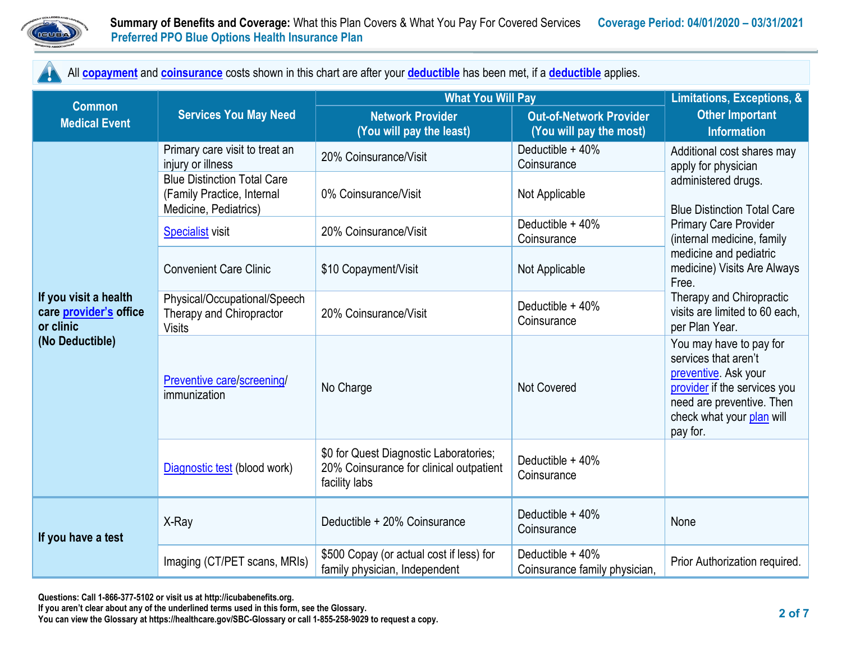

All **[copayment](https://www.healthcare.gov/sbc-glossary/#copayment)** and **[coinsurance](https://www.healthcare.gov/sbc-glossary/#coinsurance)** costs shown in this chart are after your **[deductible](https://www.healthcare.gov/sbc-glossary/#deductible)** has been met, if a **[deductible](https://www.healthcare.gov/sbc-glossary/#deductible)** applies.

|                                                                                 | <b>Services You May Need</b>                                                              | <b>What You Will Pay</b>                                                                           | Limitations, Exceptions, &                                |                                                                                                                                                                                                                                                               |  |
|---------------------------------------------------------------------------------|-------------------------------------------------------------------------------------------|----------------------------------------------------------------------------------------------------|-----------------------------------------------------------|---------------------------------------------------------------------------------------------------------------------------------------------------------------------------------------------------------------------------------------------------------------|--|
| <b>Common</b><br><b>Medical Event</b>                                           |                                                                                           | <b>Network Provider</b><br>(You will pay the least)                                                | <b>Out-of-Network Provider</b><br>(You will pay the most) | <b>Other Important</b><br><b>Information</b>                                                                                                                                                                                                                  |  |
|                                                                                 | Primary care visit to treat an<br>injury or illness                                       | 20% Coinsurance/Visit                                                                              | Deductible + 40%<br>Coinsurance                           | Additional cost shares may<br>apply for physician                                                                                                                                                                                                             |  |
|                                                                                 | <b>Blue Distinction Total Care</b><br>(Family Practice, Internal<br>Medicine, Pediatrics) | 0% Coinsurance/Visit                                                                               | Not Applicable                                            | administered drugs.<br><b>Blue Distinction Total Care</b>                                                                                                                                                                                                     |  |
|                                                                                 | <b>Specialist</b> visit                                                                   | 20% Coinsurance/Visit                                                                              | Deductible + 40%<br>Coinsurance                           | <b>Primary Care Provider</b><br>(internal medicine, family                                                                                                                                                                                                    |  |
|                                                                                 | <b>Convenient Care Clinic</b>                                                             | \$10 Copayment/Visit                                                                               | Not Applicable                                            | medicine and pediatric<br>medicine) Visits Are Always<br>Free.                                                                                                                                                                                                |  |
| If you visit a health<br>care provider's office<br>or clinic<br>(No Deductible) | Physical/Occupational/Speech<br>Therapy and Chiropractor<br><b>Visits</b>                 | 20% Coinsurance/Visit                                                                              | Deductible + 40%<br>Coinsurance                           | Therapy and Chiropractic<br>visits are limited to 60 each,<br>per Plan Year.<br>You may have to pay for<br>services that aren't<br>preventive. Ask your<br>provider if the services you<br>need are preventive. Then<br>check what your plan will<br>pay for. |  |
|                                                                                 | Preventive care/screening/<br>immunization                                                | No Charge                                                                                          | <b>Not Covered</b>                                        |                                                                                                                                                                                                                                                               |  |
|                                                                                 | Diagnostic test (blood work)                                                              | \$0 for Quest Diagnostic Laboratories;<br>20% Coinsurance for clinical outpatient<br>facility labs | Deductible + 40%<br>Coinsurance                           |                                                                                                                                                                                                                                                               |  |
| If you have a test                                                              | X-Ray                                                                                     | Deductible + 20% Coinsurance                                                                       | Deductible + 40%<br>Coinsurance                           | None                                                                                                                                                                                                                                                          |  |
|                                                                                 | Imaging (CT/PET scans, MRIs)                                                              | \$500 Copay (or actual cost if less) for<br>family physician, Independent                          | Deductible + 40%<br>Coinsurance family physician,         | Prior Authorization required.                                                                                                                                                                                                                                 |  |

**If you aren't clear about any of the underlined terms used in this form, see the Glossary.**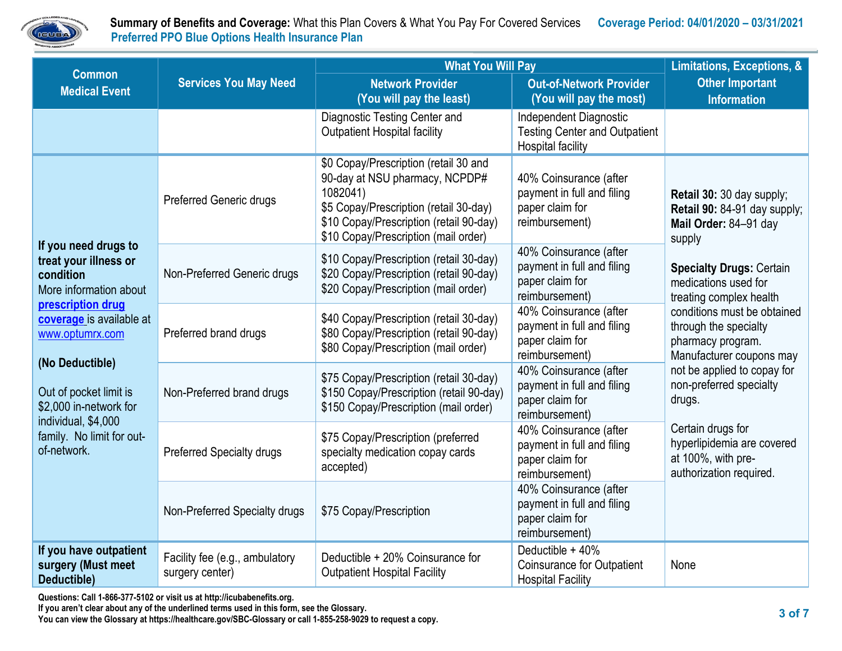

|                                                                                                                                                                                                                                                                                                    | <b>What You Will Pay</b>                          |                                                                                                                                                                                                                  |                                                                                            | Limitations, Exceptions, &                                                                                                                                                         |  |
|----------------------------------------------------------------------------------------------------------------------------------------------------------------------------------------------------------------------------------------------------------------------------------------------------|---------------------------------------------------|------------------------------------------------------------------------------------------------------------------------------------------------------------------------------------------------------------------|--------------------------------------------------------------------------------------------|------------------------------------------------------------------------------------------------------------------------------------------------------------------------------------|--|
| <b>Common</b><br><b>Medical Event</b>                                                                                                                                                                                                                                                              | <b>Services You May Need</b>                      | <b>Network Provider</b><br>(You will pay the least)                                                                                                                                                              | <b>Out-of-Network Provider</b><br>(You will pay the most)                                  | <b>Other Important</b><br><b>Information</b>                                                                                                                                       |  |
|                                                                                                                                                                                                                                                                                                    |                                                   | Diagnostic Testing Center and<br><b>Outpatient Hospital facility</b>                                                                                                                                             | Independent Diagnostic<br><b>Testing Center and Outpatient</b><br><b>Hospital facility</b> |                                                                                                                                                                                    |  |
| If you need drugs to<br>treat your illness or<br>condition<br>More information about<br>prescription drug<br>coverage is available at<br>www.optumrx.com<br>(No Deductible)<br>Out of pocket limit is<br>\$2,000 in-network for<br>individual, \$4,000<br>family. No limit for out-<br>of-network. | <b>Preferred Generic drugs</b>                    | \$0 Copay/Prescription (retail 30 and<br>90-day at NSU pharmacy, NCPDP#<br>1082041)<br>\$5 Copay/Prescription (retail 30-day)<br>\$10 Copay/Prescription (retail 90-day)<br>\$10 Copay/Prescription (mail order) | 40% Coinsurance (after<br>payment in full and filing<br>paper claim for<br>reimbursement)  | Retail 30: 30 day supply;<br>Retail 90: 84-91 day supply;<br>Mail Order: 84-91 day<br>supply<br><b>Specialty Drugs: Certain</b><br>medications used for<br>treating complex health |  |
|                                                                                                                                                                                                                                                                                                    | Non-Preferred Generic drugs                       | \$10 Copay/Prescription (retail 30-day)<br>\$20 Copay/Prescription (retail 90-day)<br>\$20 Copay/Prescription (mail order)                                                                                       | 40% Coinsurance (after<br>payment in full and filing<br>paper claim for<br>reimbursement)  |                                                                                                                                                                                    |  |
|                                                                                                                                                                                                                                                                                                    | Preferred brand drugs                             | \$40 Copay/Prescription (retail 30-day)<br>\$80 Copay/Prescription (retail 90-day)<br>\$80 Copay/Prescription (mail order)                                                                                       | 40% Coinsurance (after<br>payment in full and filing<br>paper claim for<br>reimbursement)  | conditions must be obtained<br>through the specialty<br>pharmacy program.<br>Manufacturer coupons may                                                                              |  |
|                                                                                                                                                                                                                                                                                                    | Non-Preferred brand drugs                         | \$75 Copay/Prescription (retail 30-day)<br>\$150 Copay/Prescription (retail 90-day)<br>\$150 Copay/Prescription (mail order)                                                                                     | 40% Coinsurance (after<br>payment in full and filing<br>paper claim for<br>reimbursement)  | not be applied to copay for<br>non-preferred specialty<br>drugs.<br>Certain drugs for<br>hyperlipidemia are covered<br>at 100%, with pre-<br>authorization required.               |  |
|                                                                                                                                                                                                                                                                                                    | <b>Preferred Specialty drugs</b>                  | \$75 Copay/Prescription (preferred<br>specialty medication copay cards<br>accepted)                                                                                                                              | 40% Coinsurance (after<br>payment in full and filing<br>paper claim for<br>reimbursement)  |                                                                                                                                                                                    |  |
|                                                                                                                                                                                                                                                                                                    | Non-Preferred Specialty drugs                     | \$75 Copay/Prescription                                                                                                                                                                                          | 40% Coinsurance (after<br>payment in full and filing<br>paper claim for<br>reimbursement)  |                                                                                                                                                                                    |  |
| If you have outpatient<br>surgery (Must meet<br>Deductible)                                                                                                                                                                                                                                        | Facility fee (e.g., ambulatory<br>surgery center) | Deductible + 20% Coinsurance for<br><b>Outpatient Hospital Facility</b>                                                                                                                                          | Deductible + 40%<br><b>Coinsurance for Outpatient</b><br><b>Hospital Facility</b>          | None                                                                                                                                                                               |  |

**Questions: Call 1-866-377-5102 or visit us at http://icubabenefits.org.** 

**If you aren't clear about any of the underlined terms used in this form, see the Glossary.**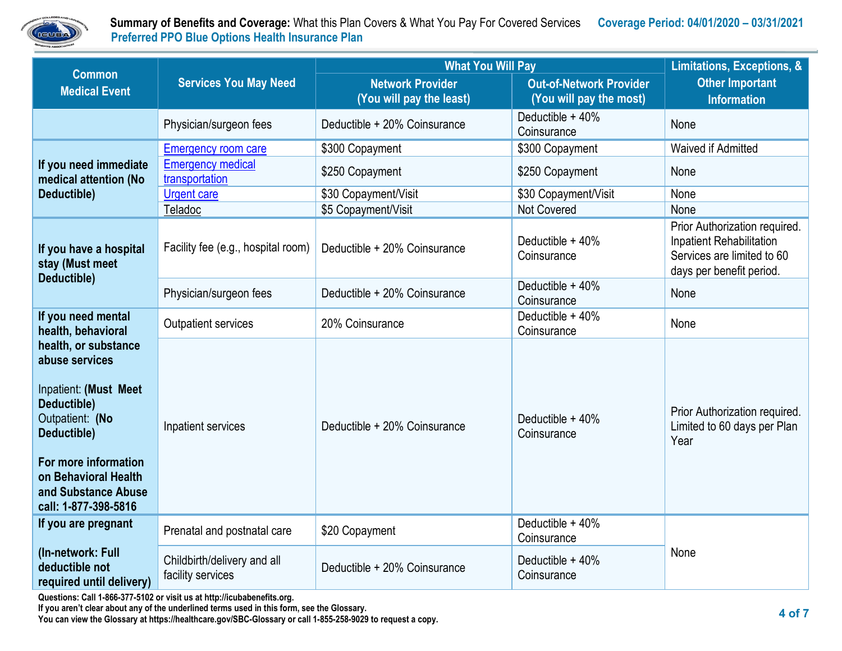

|                                                                                                                                                                                                                         | <b>Services You May Need</b>                     | <b>What You Will Pay</b>                            | Limitations, Exceptions, &                                |                                                                                                                            |  |
|-------------------------------------------------------------------------------------------------------------------------------------------------------------------------------------------------------------------------|--------------------------------------------------|-----------------------------------------------------|-----------------------------------------------------------|----------------------------------------------------------------------------------------------------------------------------|--|
| <b>Common</b><br><b>Medical Event</b>                                                                                                                                                                                   |                                                  | <b>Network Provider</b><br>(You will pay the least) | <b>Out-of-Network Provider</b><br>(You will pay the most) | <b>Other Important</b><br><b>Information</b>                                                                               |  |
|                                                                                                                                                                                                                         | Physician/surgeon fees                           | Deductible + 20% Coinsurance                        | Deductible + 40%<br>Coinsurance                           | None                                                                                                                       |  |
|                                                                                                                                                                                                                         | <b>Emergency room care</b>                       | \$300 Copayment                                     | \$300 Copayment                                           | Waived if Admitted                                                                                                         |  |
| If you need immediate<br>medical attention (No                                                                                                                                                                          | <b>Emergency medical</b><br>transportation       | \$250 Copayment                                     | \$250 Copayment                                           | None                                                                                                                       |  |
| Deductible)                                                                                                                                                                                                             | <b>Urgent care</b>                               | \$30 Copayment/Visit                                | \$30 Copayment/Visit                                      | None                                                                                                                       |  |
|                                                                                                                                                                                                                         | Teladoc                                          | \$5 Copayment/Visit                                 | <b>Not Covered</b>                                        | None                                                                                                                       |  |
| If you have a hospital<br>stay (Must meet<br>Deductible)                                                                                                                                                                | Facility fee (e.g., hospital room)               | Deductible + 20% Coinsurance                        | Deductible + 40%<br>Coinsurance                           | Prior Authorization required.<br><b>Inpatient Rehabilitation</b><br>Services are limited to 60<br>days per benefit period. |  |
|                                                                                                                                                                                                                         | Physician/surgeon fees                           | Deductible + 20% Coinsurance                        | Deductible + 40%<br>Coinsurance                           | None                                                                                                                       |  |
| If you need mental<br>health, behavioral                                                                                                                                                                                | <b>Outpatient services</b>                       | 20% Coinsurance                                     | Deductible + 40%<br>Coinsurance                           | None                                                                                                                       |  |
| health, or substance<br>abuse services<br><b>Inpatient: (Must Meet)</b><br>Deductible)<br>Outpatient: (No<br>Deductible)<br>For more information<br>on Behavioral Health<br>and Substance Abuse<br>call: 1-877-398-5816 | Inpatient services                               | Deductible + 20% Coinsurance                        | Deductible + 40%<br>Coinsurance                           | Prior Authorization required.<br>Limited to 60 days per Plan<br>Year                                                       |  |
| If you are pregnant                                                                                                                                                                                                     | Prenatal and postnatal care                      | \$20 Copayment                                      | Deductible + 40%<br>Coinsurance                           | None                                                                                                                       |  |
| (In-network: Full<br>deductible not<br>required until delivery)                                                                                                                                                         | Childbirth/delivery and all<br>facility services | Deductible + 20% Coinsurance                        | Deductible + 40%<br>Coinsurance                           |                                                                                                                            |  |

**Questions: Call 1-866-377-5102 or visit us at http://icubabenefits.org.** 

**If you aren't clear about any of the underlined terms used in this form, see the Glossary.**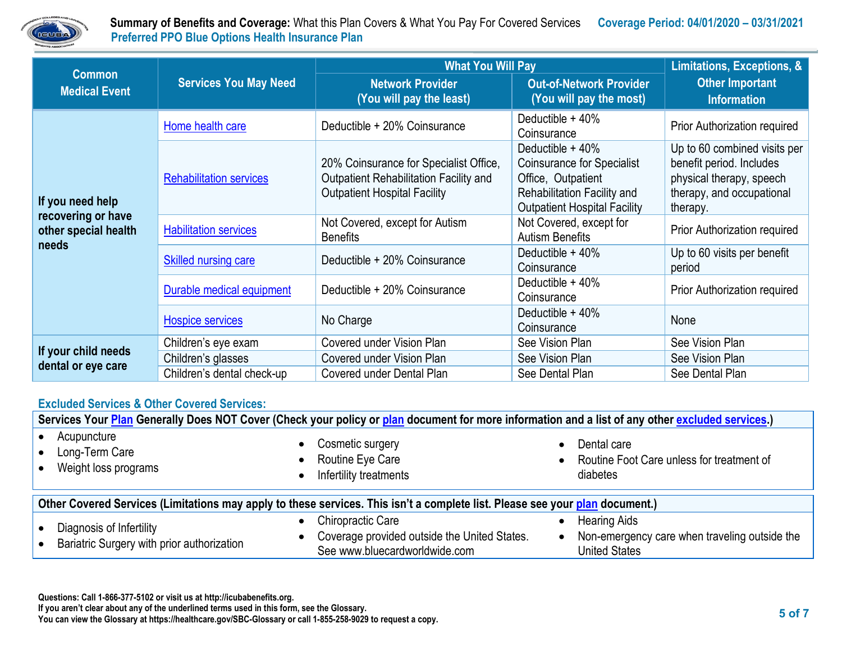

|                                                                         | <b>Services You May Need</b>   | <b>What You Will Pay</b>                                                                                                | Limitations, Exceptions, &                                                                                                                         |                                                                                                                               |
|-------------------------------------------------------------------------|--------------------------------|-------------------------------------------------------------------------------------------------------------------------|----------------------------------------------------------------------------------------------------------------------------------------------------|-------------------------------------------------------------------------------------------------------------------------------|
| <b>Common</b><br><b>Medical Event</b>                                   |                                | <b>Network Provider</b><br>(You will pay the least)                                                                     | <b>Out-of-Network Provider</b><br>(You will pay the most)                                                                                          | <b>Other Important</b><br><b>Information</b>                                                                                  |
| If you need help<br>recovering or have<br>other special health<br>needs | Home health care               | Deductible + 20% Coinsurance                                                                                            | Deductible + 40%<br>Coinsurance                                                                                                                    | <b>Prior Authorization required</b>                                                                                           |
|                                                                         | <b>Rehabilitation services</b> | 20% Coinsurance for Specialist Office,<br>Outpatient Rehabilitation Facility and<br><b>Outpatient Hospital Facility</b> | Deductible $+40%$<br><b>Coinsurance for Specialist</b><br>Office, Outpatient<br>Rehabilitation Facility and<br><b>Outpatient Hospital Facility</b> | Up to 60 combined visits per<br>benefit period. Includes<br>physical therapy, speech<br>therapy, and occupational<br>therapy. |
|                                                                         | <b>Habilitation services</b>   | Not Covered, except for Autism<br><b>Benefits</b>                                                                       | Not Covered, except for<br><b>Autism Benefits</b>                                                                                                  | <b>Prior Authorization required</b>                                                                                           |
|                                                                         | <b>Skilled nursing care</b>    | Deductible + 20% Coinsurance                                                                                            | Deductible + 40%<br>Coinsurance                                                                                                                    | Up to 60 visits per benefit<br>period                                                                                         |
|                                                                         | Durable medical equipment      | Deductible + 20% Coinsurance                                                                                            | Deductible $+40\%$<br>Coinsurance                                                                                                                  | <b>Prior Authorization required</b>                                                                                           |
|                                                                         | <b>Hospice services</b>        | No Charge                                                                                                               | Deductible + 40%<br>Coinsurance                                                                                                                    | None                                                                                                                          |
| If your child needs<br>dental or eye care                               | Children's eye exam            | Covered under Vision Plan                                                                                               | See Vision Plan                                                                                                                                    | See Vision Plan                                                                                                               |
|                                                                         | Children's glasses             | Covered under Vision Plan                                                                                               | See Vision Plan                                                                                                                                    | See Vision Plan                                                                                                               |
|                                                                         | Children's dental check-up     | Covered under Dental Plan                                                                                               | See Dental Plan                                                                                                                                    | See Dental Plan                                                                                                               |

#### **Excluded Services & Other Covered Services:**

| Services Your Plan Generally Does NOT Cover (Check your policy or plan document for more information and a list of any other excluded services.) |                                                                                                           |                                                                                                           |  |  |
|--------------------------------------------------------------------------------------------------------------------------------------------------|-----------------------------------------------------------------------------------------------------------|-----------------------------------------------------------------------------------------------------------|--|--|
| Acupuncture<br>Long-Term Care<br>Weight loss programs                                                                                            | Cosmetic surgery<br>Routine Eye Care<br>Infertility treatments                                            | Dental care<br>Routine Foot Care unless for treatment of<br>diabetes                                      |  |  |
| Other Covered Services (Limitations may apply to these services. This isn't a complete list. Please see your plan document.)                     |                                                                                                           |                                                                                                           |  |  |
| Diagnosis of Infertility<br>Bariatric Surgery with prior authorization                                                                           | <b>Chiropractic Care</b><br>Coverage provided outside the United States.<br>See www.bluecardworldwide.com | <b>Hearing Aids</b><br>Non-emergency care when traveling outside the<br>$\bullet$<br><b>United States</b> |  |  |

**Questions: Call 1-866-377-5102 or visit us at http://icubabenefits.org.** 

**If you aren't clear about any of the underlined terms used in this form, see the Glossary.**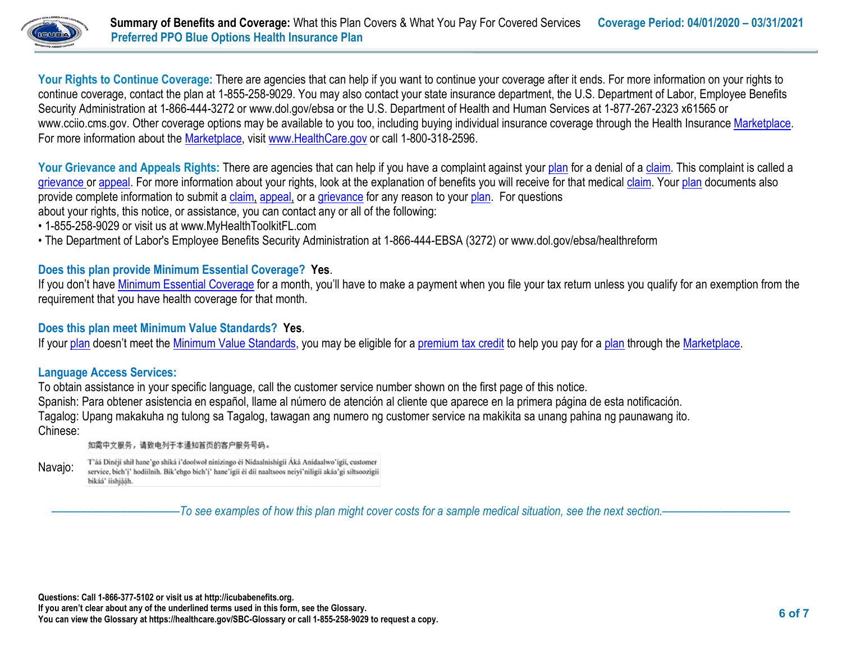

Your Rights to Continue Coverage: There are agencies that can help if you want to continue your coverage after it ends. For more information on your rights to continue coverage, contact the plan at 1-855-258-9029. You may also contact your state insurance department, the U.S. Department of Labor, Employee Benefits Security Administration at 1-866-444-3272 or www.dol.gov/ebsa or the U.S. Department of Health and Human Services at 1-877-267-2323 x61565 or www.cciio.cms.gov. Other coverage options may be available to you too, including buying individual insurance coverage through the Health Insurance [Marketplace.](https://www.healthcare.gov/sbc-glossary/#marketplace) For more information about the [Marketplace,](https://www.healthcare.gov/sbc-glossary/#marketplace) visit [www.HealthCare.gov](http://www.healthcare.gov/) or call 1-800-318-2596.

Your Grievance and Appeals Rights: There are agencies that can help if you have a complaint against you[r plan](https://www.healthcare.gov/sbc-glossary/#plan) for a denial of a [claim.](https://www.healthcare.gov/sbc-glossary/#claim) This complaint is called a [grievance](https://www.healthcare.gov/sbc-glossary/#grievance) or [appeal.](https://www.healthcare.gov/sbc-glossary/#appeal) For more information about your rights, look at the explanation of benefits you will receive for that medica[l claim.](https://www.healthcare.gov/sbc-glossary/#claim) Your [plan](https://www.healthcare.gov/sbc-glossary/#plan) documents also provide complete information to submit a [claim,](https://www.healthcare.gov/sbc-glossary/#claim) [appeal,](https://www.healthcare.gov/sbc-glossary/#appeal) or a [grievance](https://www.healthcare.gov/sbc-glossary/#grievance) for any reason to your [plan.](https://www.healthcare.gov/sbc-glossary/#plan) For questions about your rights, this notice, or assistance, you can contact any or all of the following:

- 1-855-258-9029 or visit us at www.MyHealthToolkitFL.com
- The Department of Labor's Employee Benefits Security Administration at 1-866-444-EBSA (3272) or www.dol.gov/ebsa/healthreform

# **Does this plan provide Minimum Essential Coverage? Yes**.

If you don't have [Minimum Essential Coverage](https://www.healthcare.gov/sbc-glossary/#minimum-essential-coverage) for a month, you'll have to make a payment when you file your tax return unless you qualify for an exemption from the requirement that you have health coverage for that month.

### **Does this plan meet Minimum Value Standards? Yes**.

If your [plan](https://www.healthcare.gov/sbc-glossary/#plan) doesn't meet the [Minimum Value Standards,](https://www.healthcare.gov/sbc-glossary/#minimum-value-standard) you may be eligible for a [premium tax credit](https://www.healthcare.gov/sbc-glossary/#premium-tax-credits) to help you pay for a plan through the [Marketplace.](https://www.healthcare.gov/sbc-glossary/#marketplace)

### **Language Access Services:**

To obtain assistance in your specific language, call the customer service number shown on the first page of this notice. Spanish: Para obtener asistencia en español, llame al número de atención al cliente que aparece en la primera página de esta notificación. Tagalog: Upang makakuha ng tulong sa Tagalog, tawagan ang numero ng customer service na makikita sa unang pahina ng paunawang ito. Chinese:

如需中文服务,请致电列于本通知首页的客户服务号码。

T'áá Dinéji shil hane'go shiká i'doolwol ninizingo éi Nidaalnishigii Áká Anidaalwo'igii, customer Navajo: service, bich'i' hodiilnih. Bik'ehgo bich'i' hane'igii éi dii naaltsoos neiyi'niligii akáa'gi siłtsoozigii bikáá' ííshjááh.

––––––––––––––––––––––*To see examples of how this plan might cover costs for a sample medical situation, see the next section.–––––––––––*–––––––––––

**Questions: Call 1-866-377-5102 or visit us at http://icubabenefits.org.** 

**If you aren't clear about any of the underlined terms used in this form, see the Glossary.**